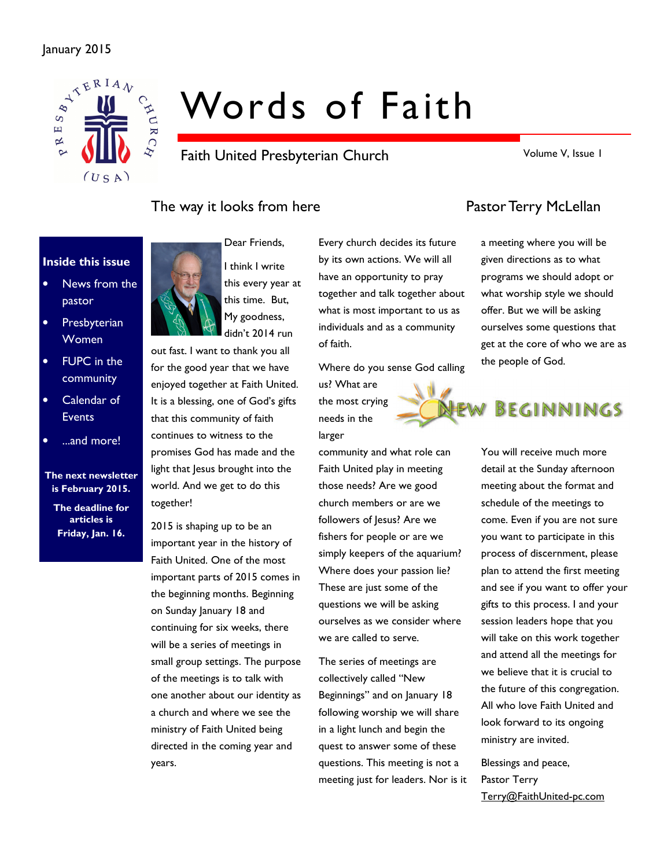### January 2015



# Words of Faith

Faith United Presbyterian Church

Volume V, Issue 1

### The way it looks from here **Pastor Terry McLellan**

### Inside this issue

- News from the pastor
- Presbyterian Women
- FUPC in the community
- Calendar of **Events**
- ...and more!

### The next newsletter is February 2015.

The deadline for articles is Friday, Jan. 16.





this every year at

out fast. I want to thank you all for the good year that we have enjoyed together at Faith United. It is a blessing, one of God's gifts that this community of faith continues to witness to the promises God has made and the light that Jesus brought into the world. And we get to do this together!

2015 is shaping up to be an important year in the history of Faith United. One of the most important parts of 2015 comes in the beginning months. Beginning on Sunday January 18 and continuing for six weeks, there will be a series of meetings in small group settings. The purpose of the meetings is to talk with one another about our identity as a church and where we see the ministry of Faith United being directed in the coming year and years.

Every church decides its future by its own actions. We will all have an opportunity to pray together and talk together about what is most important to us as individuals and as a community of faith.

Where do you sense God calling us? What are the most crying needs in the larger

community and what role can Faith United play in meeting those needs? Are we good church members or are we followers of Jesus? Are we fishers for people or are we simply keepers of the aquarium? Where does your passion lie? These are just some of the questions we will be asking ourselves as we consider where we are called to serve.

The series of meetings are collectively called "New Beginnings" and on January 18 following worship we will share in a light lunch and begin the quest to answer some of these questions. This meeting is not a meeting just for leaders. Nor is it

a meeting where you will be given directions as to what programs we should adopt or what worship style we should offer. But we will be asking ourselves some questions that get at the core of who we are as the people of God.

# BEGINNINGS

You will receive much more detail at the Sunday afternoon meeting about the format and schedule of the meetings to come. Even if you are not sure you want to participate in this process of discernment, please plan to attend the first meeting and see if you want to offer your gifts to this process. I and your session leaders hope that you will take on this work together and attend all the meetings for we believe that it is crucial to the future of this congregation. All who love Faith United and look forward to its ongoing ministry are invited.

Blessings and peace, Pastor Terry Terry@FaithUnited-pc.com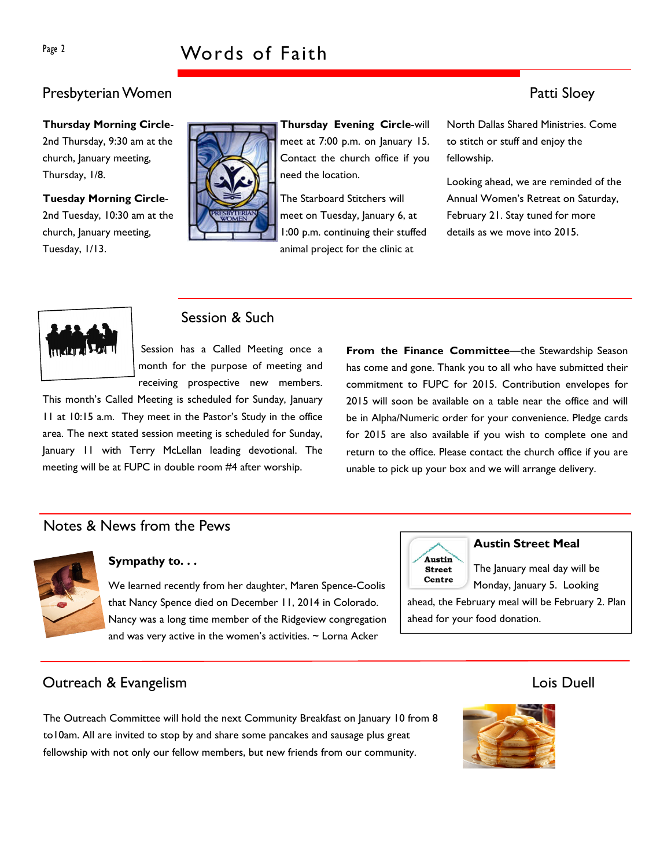## Page 2 Words of Faith

### Presbyterian Women **Patti Sloey**

Thursday Morning Circle-2nd Thursday, 9:30 am at the church, January meeting, Thursday, 1/8.

Tuesday Morning Circle-2nd Tuesday, 10:30 am at the church, January meeting, Tuesday, 1/13.



Thursday Evening Circle-will meet at 7:00 p.m. on January 15. Contact the church office if you need the location.

The Starboard Stitchers will meet on Tuesday, January 6, at 1:00 p.m. continuing their stuffed animal project for the clinic at

North Dallas Shared Ministries. Come to stitch or stuff and enjoy the fellowship.

Looking ahead, we are reminded of the Annual Women's Retreat on Saturday, February 21. Stay tuned for more details as we move into 2015.



### Session & Such

Session has a Called Meeting once a month for the purpose of meeting and receiving prospective new members.

This month's Called Meeting is scheduled for Sunday, January 11 at 10:15 a.m. They meet in the Pastor's Study in the office area. The next stated session meeting is scheduled for Sunday, January 11 with Terry McLellan leading devotional. The meeting will be at FUPC in double room #4 after worship.

From the Finance Committee—the Stewardship Season has come and gone. Thank you to all who have submitted their commitment to FUPC for 2015. Contribution envelopes for 2015 will soon be available on a table near the office and will be in Alpha/Numeric order for your convenience. Pledge cards for 2015 are also available if you wish to complete one and return to the office. Please contact the church office if you are unable to pick up your box and we will arrange delivery.

### Notes & News from the Pews



### Sympathy to. . .

We learned recently from her daughter, Maren Spence-Coolis that Nancy Spence died on December 11, 2014 in Colorado. Nancy was a long time member of the Ridgeview congregation and was very active in the women's activities.  $\sim$  Lorna Acker



### Austin Street Meal

The January meal day will be Monday, January 5. Looking

ahead, the February meal will be February 2. Plan ahead for your food donation.

### Outreach & Evangelism Lois Duell

The Outreach Committee will hold the next Community Breakfast on January 10 from 8 to10am. All are invited to stop by and share some pancakes and sausage plus great fellowship with not only our fellow members, but new friends from our community.

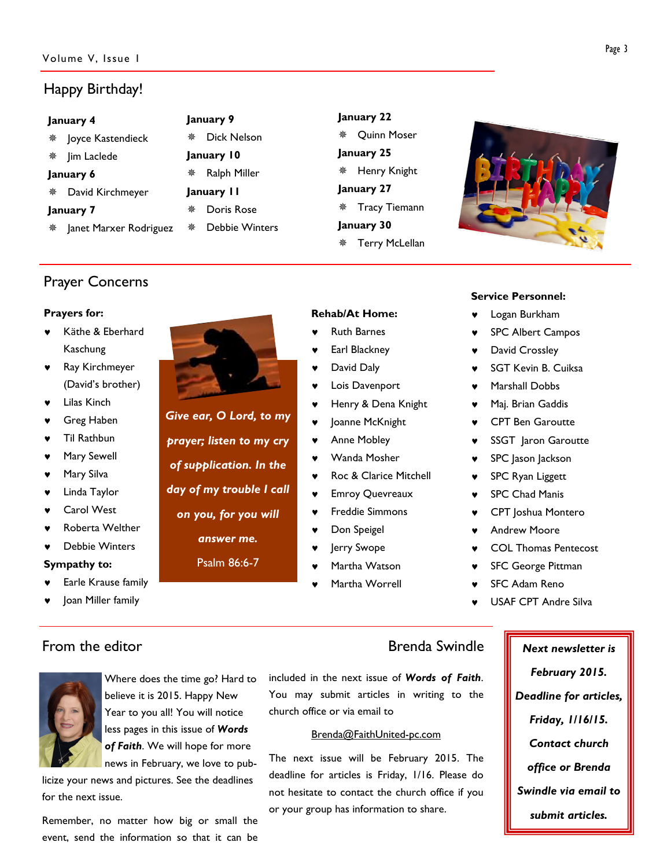### Happy Birthday!

| January 4     |                                                                                         | January 9             |                      |                       |                                        |
|---------------|-----------------------------------------------------------------------------------------|-----------------------|----------------------|-----------------------|----------------------------------------|
|               | 楽                                                                                       | Dick Nelson           |                      | Quinn Moser           |                                        |
| * Jim Laclede |                                                                                         | January 10            |                      |                       |                                        |
| January 6     |                                                                                         | Ralph Miller          |                      | Henry Knight          |                                        |
|               | January II                                                                              |                       | January 27           |                       |                                        |
| January 7     |                                                                                         | Doris Rose            | <b>Tracy Tiemann</b> |                       |                                        |
|               | 豪                                                                                       | <b>Debbie Winters</b> |                      | <b>Terry McLellan</b> |                                        |
|               | <sup>※</sup> Joyce Kastendieck<br>* David Kirchmeyer<br><b>* Janet Marxer Rodriguez</b> | 豢<br>豢                |                      |                       | January 22<br>January 25<br>January 30 |

### Prayer Concerns

### Prayers for:

- Käthe & Eberhard Kaschung
- Ray Kirchmeyer (David's brother)
- **Lilas Kinch**
- Greg Haben
- Til Rathbun
- Mary Sewell
- Mary Silva
- Linda Taylor
- Carol West
- ♥ Roberta Welther
- Debbie Winters

### Sympathy to:

- Earle Krause family
- Joan Miller family

Give ear, O Lord, to my prayer; listen to my cry of supplication. In the day of my trouble I call

on you, for you will

answer me.

### Psalm 86:6-7

Martha Worrell

- Rehab/At Home: **Ruth Barnes**
- Earl Blackney
- ♥ David Daly
- Lois Davenport
- Henry & Dena Knight
- Joanne McKnight
- Anne Mobley
- Wanda Mosher
- Roc & Clarice Mitchell
- **Emroy Quevreaux**
- Freddie Simmons
- Don Speigel
- Jerry Swope
- Martha Watson
- 

### Service Personnel:

- Logan Burkham
- SPC Albert Campos
- David Crossley
- SGT Kevin B. Cuiksa
- Marshall Dobbs
- Maj. Brian Gaddis
- **CPT Ben Garoutte**
- SSGT Jaron Garoutte
- ♥ SPC Jason Jackson
- SPC Ryan Liggett
- SPC Chad Manis
- ♥ CPT Joshua Montero
- **Andrew Moore**
- ♥ COL Thomas Pentecost
- **SFC George Pittman**
- SFC Adam Reno
- USAF CPT Andre Silva



Where does the time go? Hard to believe it is 2015. Happy New Year to you all! You will notice less pages in this issue of Words of Faith. We will hope for more news in February, we love to pub-

licize your news and pictures. See the deadlines for the next issue.

Remember, no matter how big or small the event, send the information so that it can be

included in the next issue of Words of Faith. You may submit articles in writing to the church office or via email to

### Brenda@FaithUnited-pc.com

The next issue will be February 2015. The deadline for articles is Friday, 1/16. Please do not hesitate to contact the church office if you or your group has information to share.

From the editor **Brenda Swindle** Next newsletter is February 2015. Deadline for articles, Friday, 1/16/15. Contact church office or Brenda Swindle via email to submit articles.